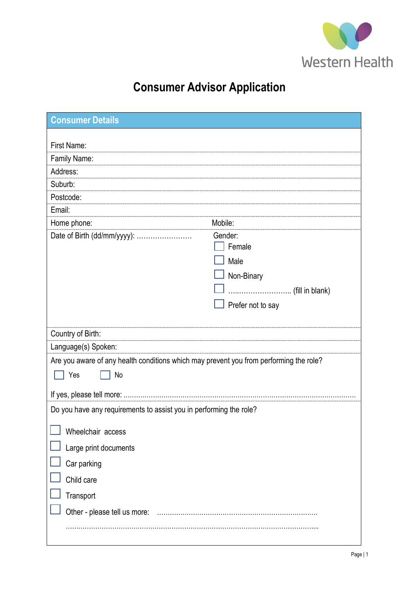

# **Consumer Advisor Application**

| <b>Consumer Details</b>                                                                |                   |  |  |
|----------------------------------------------------------------------------------------|-------------------|--|--|
|                                                                                        |                   |  |  |
| First Name:                                                                            |                   |  |  |
| Family Name:                                                                           |                   |  |  |
| Address:                                                                               |                   |  |  |
| Suburb:                                                                                |                   |  |  |
| Postcode:<br>Email:                                                                    |                   |  |  |
| Home phone:                                                                            | Mobile:           |  |  |
| Date of Birth (dd/mm/yyyy):                                                            | Gender:           |  |  |
|                                                                                        | Female            |  |  |
|                                                                                        | Male              |  |  |
|                                                                                        | Non-Binary        |  |  |
|                                                                                        |                   |  |  |
|                                                                                        |                   |  |  |
|                                                                                        | Prefer not to say |  |  |
|                                                                                        |                   |  |  |
| Country of Birth:                                                                      |                   |  |  |
| Language(s) Spoken:                                                                    |                   |  |  |
| Are you aware of any health conditions which may prevent you from performing the role? |                   |  |  |
| Yes<br>No                                                                              |                   |  |  |
|                                                                                        |                   |  |  |
| Do you have any requirements to assist you in performing the role?                     |                   |  |  |
|                                                                                        |                   |  |  |
| Wheelchair access                                                                      |                   |  |  |
| Large print documents                                                                  |                   |  |  |
| Car parking                                                                            |                   |  |  |
| Child care                                                                             |                   |  |  |
| Transport                                                                              |                   |  |  |
| Other - please tell us more:                                                           |                   |  |  |
|                                                                                        |                   |  |  |
|                                                                                        |                   |  |  |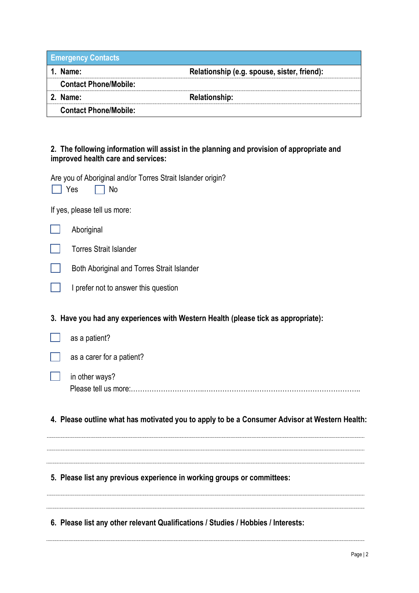| <b>Emergency Contacts</b>    |                                             |
|------------------------------|---------------------------------------------|
| 1. Name:                     | Relationship (e.g. spouse, sister, friend): |
| <b>Contact Phone/Mobile:</b> |                                             |
| 2. Name:                     | <b>Relationship:</b>                        |
| <b>Contact Phone/Mobile:</b> |                                             |

## **2. The following information will assist in the planning and provision of appropriate and improved health care and services:**

Are you of Aboriginal and/or Torres Strait Islander origin?

| $\overline{I}$ are you or $\overline{I}$ aborighter enters in order orient rolented origin :<br>Yes<br>No |
|-----------------------------------------------------------------------------------------------------------|
| If yes, please tell us more:                                                                              |
| Aboriginal                                                                                                |
| <b>Torres Strait Islander</b>                                                                             |
| Both Aboriginal and Torres Strait Islander                                                                |
| I prefer not to answer this question                                                                      |
| 3. Have you had any experiences with Western Health (please tick as appropriate):                         |
| as a patient?                                                                                             |
| as a carer for a patient?                                                                                 |
| in other ways?<br>Please tell us more:.                                                                   |
|                                                                                                           |

**4. Please outline what has motivated you to apply to be a Consumer Advisor at Western Health:** 

# **5. Please list any previous experience in working groups or committees:**

**6. Please list any other relevant Qualifications / Studies / Hobbies / Interests:**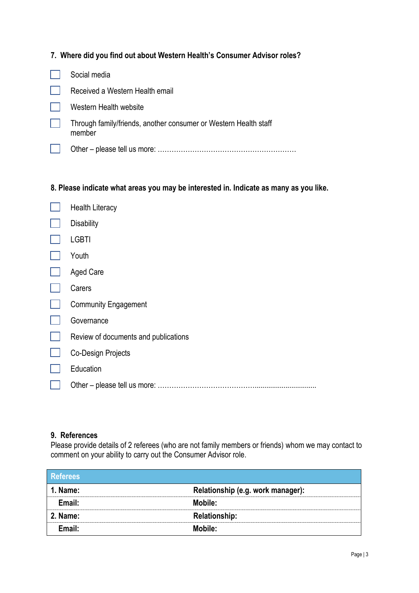|  |  |  |  |  |  | 7. Where did you find out about Western Health's Consumer Advisor roles? |  |  |
|--|--|--|--|--|--|--------------------------------------------------------------------------|--|--|
|--|--|--|--|--|--|--------------------------------------------------------------------------|--|--|

| Social media                                                               |
|----------------------------------------------------------------------------|
| Received a Western Health email                                            |
| Western Health website                                                     |
| Through family/friends, another consumer or Western Health staff<br>member |
|                                                                            |

## **8. Please indicate what areas you may be interested in. Indicate as many as you like.**

| <b>Health Literacy</b>               |
|--------------------------------------|
| <b>Disability</b>                    |
| <b>LGBTI</b>                         |
| Youth                                |
| <b>Aged Care</b>                     |
| Carers                               |
| <b>Community Engagement</b>          |
| Governance                           |
| Review of documents and publications |
| Co-Design Projects                   |
| Education                            |
|                                      |
|                                      |

# **9. References**

Please provide details of 2 referees (who are not family members or friends) whom we may contact to comment on your ability to carry out the Consumer Advisor role.

| <b>Referees</b> |                                   |
|-----------------|-----------------------------------|
| <b>1. Name:</b> | Relationship (e.g. work manager): |
| Email:          | Mobile:                           |
| <b>2. Name:</b> | <b>Relationship:</b>              |
| Email:          | Mobile:                           |